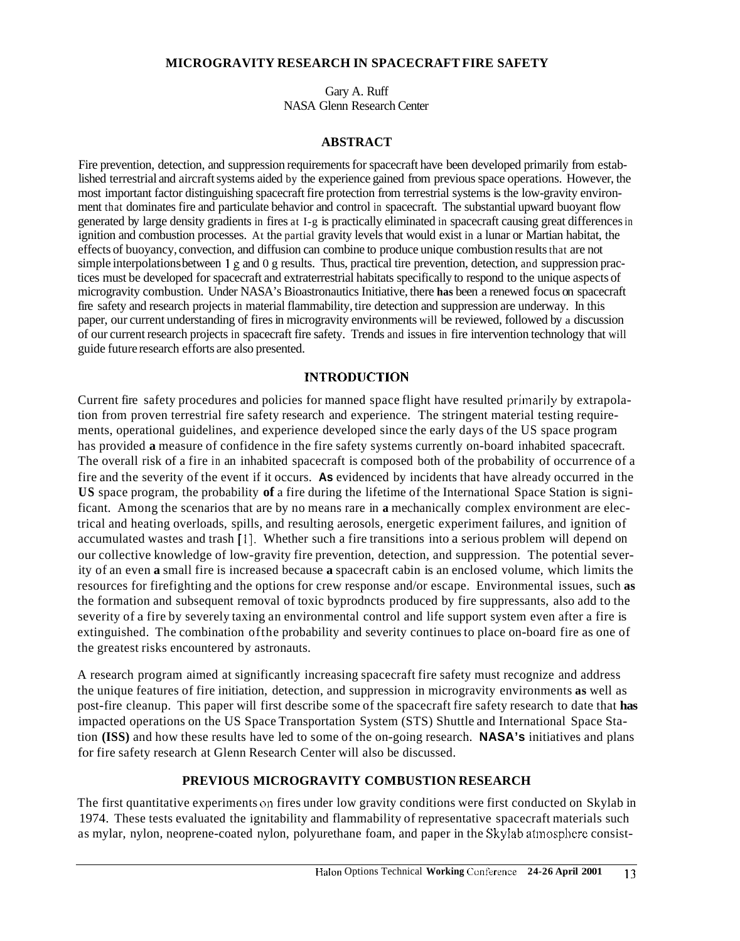### **MICROGRAVITY RESEARCH IN SPACECRAFT FIRE SAFETY**

Gary A. Ruff NASA Glenn Research Center

### **ABSTRACT**

Fire prevention, detection, and suppression requirements for spacecraft have been developed primarily from established terrestrial and aircraft systems aided by the experience gained from previous space operations. However, the most important factor distinguishing spacecraft fire protection from terrestrial systems is the low-gravity environment that dominates fire and particulate behavior and control in spacecraft. The substantial upward buoyant flow generated by large density gradients in fires at I-g is practically eliminated in spacecraft causing great differences in ignition and combustion processes. At the partial gravity levels that would exist in a lunar or Martian habitat, the effects of buoyancy, convection, and diffusion can combine to produce unique combustion results that are not simple interpolations between **1 g** and 0 g results. Thus, practical tire prevention, detection, and suppression practices must be developed for spacecraft and extraterrestrial habitats specifically to respond to the unique aspects of microgravity combustion. Under NASA's Bioastronautics Initiative, there **has** been a renewed focus on spacecraft fire safety and research projects in material flammability, tire detection and suppression are underway. In this paper, our current understanding of fires in microgravity environments will be reviewed, followed by a discussion of our current research projects in spacecraft fire safety. Trends and issues in fire intervention technology that will guide future research efforts are also presented.

## **INTRODUCTlON**

Current fire safety procedures and policies for manned space flight have resulted priinarily by extrapolation from proven terrestrial fire safety research and experience. The stringent material testing requirements, operational guidelines, and experience developed since the early days of the US space program has provided **a** measure of confidence in the fire safety systems currently on-board inhabited spacecraft. The overall risk of a fire in an inhabited spacecraft is composed both of the probability of occurrence of a fire and the severity of the event if it occurs. **As** evidenced by incidents that have already occurred in the **US** space program, the probability **of** a fire during the lifetime of the International Space Station is significant. Among the scenarios that are by no means rare in **a** mechanically complex environment are electrical and heating overloads, spills, and resulting aerosols, energetic experiment failures, and ignition of accumulated wastes and trash [I]. Whether such a fire transitions into a serious problem will depend on our collective knowledge of low-gravity fire prevention, detection, and suppression. The potential severity of an even **a** small fire is increased because **a** spacecraft cabin is an enclosed volume, which limits the resources for firefighting and the options for crew response and/or escape. Environmental issues, such **as**  the formation and subsequent removal of toxic byprodncts produced by fire suppressants, also add to the severity of a fire by severely taxing an environmental control and life support system even after a fire is extinguished. The combination ofthe probability and severity continues to place on-board fire as one of the greatest risks encountered by astronauts.

A research program aimed at significantly increasing spacecraft fire safety must recognize and address the unique features of fire initiation, detection, and suppression in microgravity environments **as** well as post-fire cleanup. This paper will first describe some of the spacecraft fire safety research to date that **has**  impacted operations on the US Space Transportation System (STS) Shuttle and International Space Station **(ISS)** and how these results have led to some of the on-going research. **NASA's** initiatives and plans for fire safety research at Glenn Research Center will also be discussed.

# **PREVIOUS MICROGRAVITY COMBUSTION RESEARCH**

The first quantitative experiments on fires under low gravity conditions were first conducted on Skylab in 1974. These tests evaluated the ignitability and flammability of representative spacecraft materials such as mylar, nylon, neoprene-coated nylon, polyurethane foam, and paper in the Skylab atinospliere consist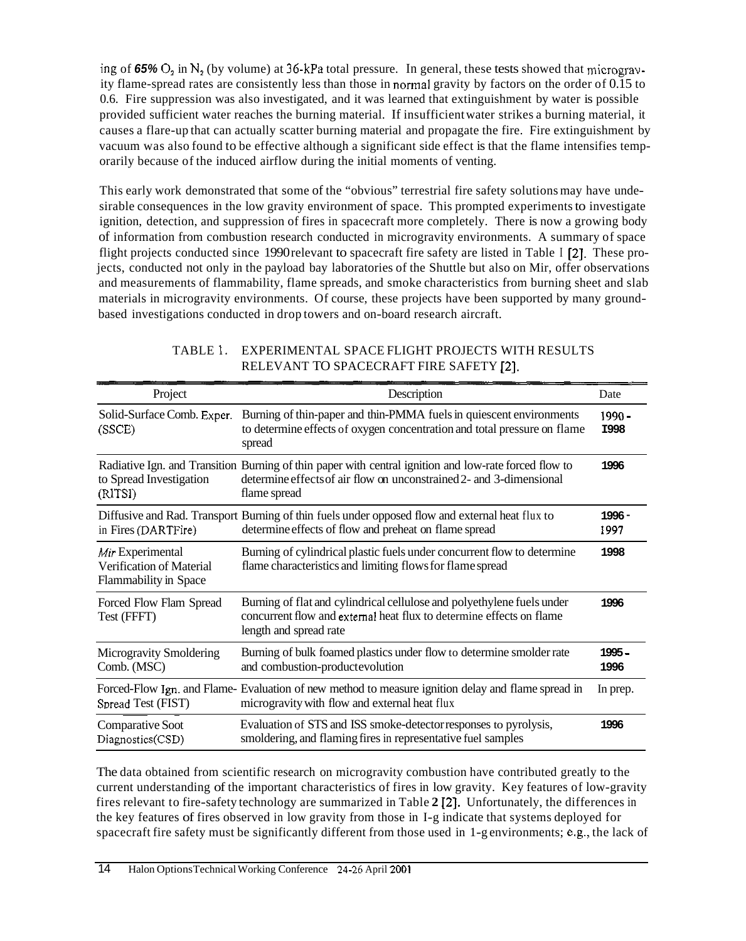ing of 65%  $O_2$  in  $N_2$  (by volume) at 36-kPa total pressure. In general, these tests showed that microgravity flame-spread rates are consistently less than those in normal gravity by factors on the order of 0.15 to 0.6. Fire suppression was also investigated, and it was learned that extinguishment by water is possible provided sufficient water reaches the burning material. If insufficient water strikes a burning material, it causes a flare-up that can actually scatter burning material and propagate the fire. Fire extinguishment by vacuum was also found to be effective although a significant side effect is that the flame intensifies temporarily because of the induced airflow during the initial moments of venting.

This early work demonstrated that some of the "obvious" terrestrial fire safety solutions may have undesirable consequences in the low gravity environment of space. This prompted experiments to investigate ignition, detection, and suppression of fires in spacecraft more completely. There is now a growing body of information from combustion research conducted in microgravity environments. A summary of space flight projects conducted since 1990 relevant to spacecraft fire safety are listed in Table I **[2].** These projects, conducted not only in the payload bay laboratories of the Shuttle but also on Mir, offer observations and measurements of flammability, flame spreads, and smoke characteristics from burning sheet and slab materials in microgravity environments. Of course, these projects have been supported by many groundbased investigations conducted in drop towers and on-board research aircraft.

| Project                                                               | Description                                                                                                                                                                                  |                         |
|-----------------------------------------------------------------------|----------------------------------------------------------------------------------------------------------------------------------------------------------------------------------------------|-------------------------|
| Solid-Surface Comb. Exper.<br>(SSCE)                                  | Burning of thin-paper and thin-PMMA fuels in quiescent environments<br>to determine effects of oxygen concentration and total pressure on flame<br>spread                                    | $1990 -$<br><b>I998</b> |
| to Spread Investigation<br>(RITSI)                                    | Radiative Ign. and Transition Burning of thin paper with central ignition and low-rate forced flow to<br>determine effects of air flow on unconstrained 2- and 3-dimensional<br>flame spread | 1996                    |
| in Fires (DARTFire)                                                   | Diffusive and Rad. Transport Burning of thin fuels under opposed flow and external heat flux to<br>determine effects of flow and preheat on flame spread                                     | 1996 -<br>1997          |
| Mir Experimental<br>Verification of Material<br>Flammability in Space | Burning of cylindrical plastic fuels under concurrent flow to determine<br>flame characteristics and limiting flows for flame spread                                                         | 1998                    |
| Forced Flow Flam Spread<br>Test (FFFT)                                | Burning of flat and cylindrical cellulose and polyethylene fuels under<br>concurrent flow and external heat flux to determine effects on flame<br>length and spread rate                     | 1996                    |
| Microgravity Smoldering<br>Comb. (MSC)                                | Burning of bulk foamed plastics under flow to determine smolder rate<br>and combustion-productevolution                                                                                      | 1995 -<br>1996          |
| Spread Test (FIST)                                                    | Forced-Flow Ign. and Flame-Evaluation of new method to measure ignition delay and flame spread in<br>microgravity with flow and external heat flux                                           | In prep.                |
| Comparative Soot<br>Diagnostics(CSD)                                  | Evaluation of STS and ISS smoke-detector responses to pyrolysis,<br>smoldering, and flaming fires in representative fuel samples                                                             | 1996                    |

## TABLE 1. EXPERIMENTAL SPACE FLIGHT PROJECTS WITH RESULTS RELEVANT TO SPACECRAFT FIRE SAFETY **[2].**

The data obtained from scientific research on microgravity combustion have contributed greatly to the current understanding of the important characteristics of fires in low gravity. Key features of low-gravity fires relevant to fire-safety technology are summarized in Table **2 121.** Unfortunately, the differences in the key features of fires observed in low gravity from those in I-g indicate that systems deployed for spacecraft fire safety must be significantly different from those used in 1-g environments; e.g., the lack of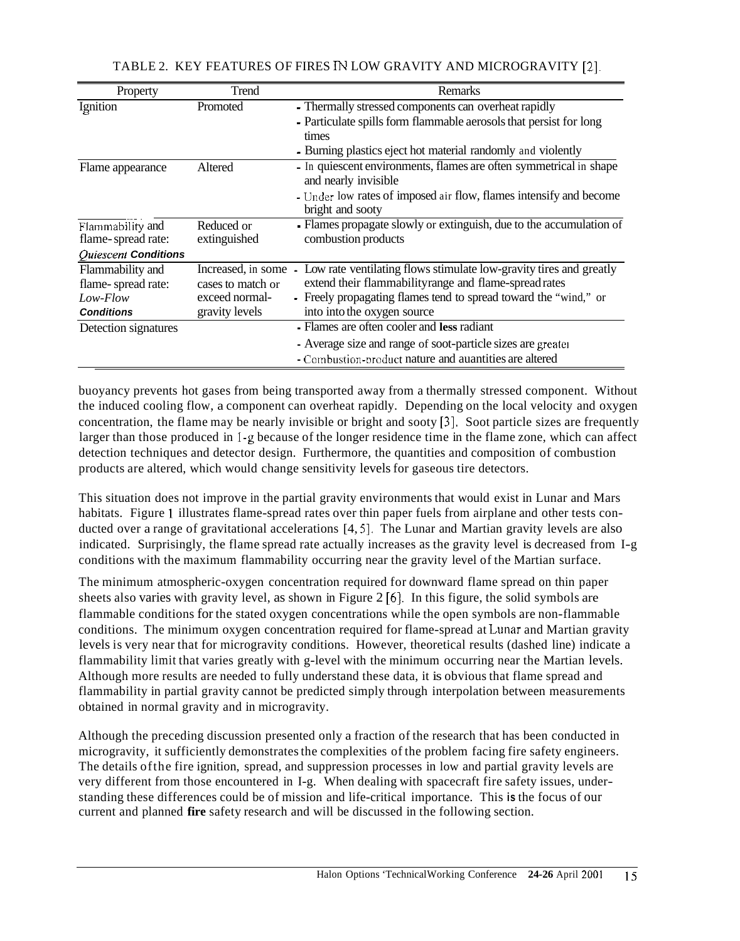| Property             | Trend              | Remarks                                                             |
|----------------------|--------------------|---------------------------------------------------------------------|
| Ignition             | Promoted           | - Thermally stressed components can overheat rapidly                |
|                      |                    | - Particulate spills form flammable aerosols that persist for long  |
|                      |                    | times                                                               |
|                      |                    | - Burning plastics eject hot material randomly and violently        |
| Flame appearance     | Altered            | - In quiescent environments, flames are often symmetrical in shape  |
|                      |                    | and nearly invisible                                                |
|                      |                    | - Under low rates of imposed air flow, flames intensify and become  |
|                      |                    | bright and sooty                                                    |
| Flammability and     | Reduced or         | - Flames propagate slowly or extinguish, due to the accumulation of |
| flame-spread rate:   | extinguished       | combustion products                                                 |
| Quiescent Conditions |                    |                                                                     |
| Flammability and     | Increased, in some | Low rate ventilating flows stimulate low-gravity tires and greatly  |
| flame-spread rate:   | cases to match or  | extend their flammabilityrange and flame-spread rates               |
| Low-Flow             | exceed normal-     | - Freely propagating flames tend to spread toward the "wind," or    |
| <b>Conditions</b>    | gravity levels     | into into the oxygen source                                         |
| Detection signatures |                    | - Flames are often cooler and less radiant                          |
|                      |                    | Average size and range of soot-particle sizes are greater           |
|                      |                    | - Combustion-product nature and auantities are altered              |

TABLE 2. KEY FEATURES OF FIRES **IN** LOW GRAVITY AND MICROGRAVITY [2].

buoyancy prevents hot gases from being transported away from a thermally stressed component. Without the induced cooling flow, a component can overheat rapidly. Depending on the local velocity and oxygen concentration, the flame may be nearly invisible or bright and sooty **[3].** Soot particle sizes are frequently larger than those produced in I-g because of the longer residence time in the flame zone, which can affect detection techniques and detector design. Furthermore, the quantities and composition of combustion products are altered, which would change sensitivity levels for gaseous tire detectors.

This situation does not improve in the partial gravity environments that would exist in Lunar and Mars habitats. Figure **1** illustrates flame-spread rates over thin paper fuels from airplane and other tests conducted over a range of gravitational accelerations [4,5]. The Lunar and Martian gravity levels are also indicated. Surprisingly, the flame spread rate actually increases as the gravity level is decreased from I-g conditions with the maximum flammability occurring near the gravity level of the Martian surface.

The minimum atmospheric-oxygen concentration required for downward flame spread on thin paper sheets also varies with gravity level, as shown in Figure 2 *[6].* In this figure, the solid symbols are flammable conditions for the stated oxygen concentrations while the open symbols are non-flammable conditions. The minimum oxygen concentration required for flame-spread at Lunar and Martian gravity levels is very near that for microgravity conditions. However, theoretical results (dashed line) indicate a flammability limit that varies greatly with g-level with the minimum occurring near the Martian levels. Although more results are needed to fully understand these data, it is obvious that flame spread and flammability in partial gravity cannot be predicted simply through interpolation between measurements obtained in normal gravity and in microgravity.

Although the preceding discussion presented only a fraction of the research that has been conducted in microgravity, it sufficiently demonstrates the complexities of the problem facing fire safety engineers. The details ofthe fire ignition, spread, and suppression processes in low and partial gravity levels are very different from those encountered in I-g. When dealing with spacecraft fire safety issues, understanding these differences could be of mission and life-critical importance. This **is** the focus of our current and planned **fire** safety research and will be discussed in the following section.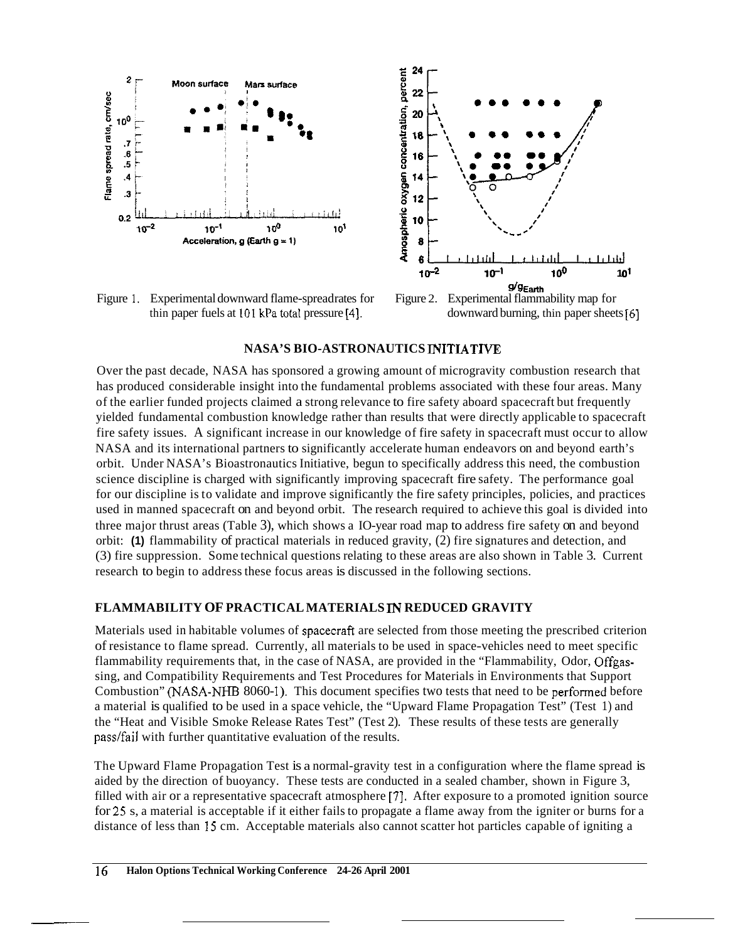

Figure 1. Experimental downward flame-spread rates for Figure 2. thin paper fuels at **101** kPatotal pressure **[4].** downward burning, thin paper sheets *[6]* 



#### **NASA'S BIO-ASTRONAUTICS INITIATTVE**

Over the past decade, NASA has sponsored a growing amount of microgravity combustion research that has produced considerable insight into the fundamental problems associated with these four areas. Many of the earlier funded projects claimed a strong relevance to fire safety aboard spacecraft but frequently yielded fundamental combustion knowledge rather than results that were directly applicable to spacecraft fire safety issues. A significant increase in our knowledge of fire safety in spacecraft must occur to allow NASA and its international partners to significantly accelerate human endeavors on and beyond earth's orbit. Under NASA's Bioastronautics Initiative, begun to specifically address this need, the combustion science discipline is charged with significantly improving spacecraft fire safety. The performance goal for our discipline is to validate and improve significantly the fire safety principles, policies, and practices used in manned spacecraft on and beyond orbit. The research required to achieve this goal is divided into three major thrust areas (Table 3), which shows a IO-year road map to address fire safety on and beyond orbit: **(1)** flammability of practical materials in reduced gravity, (2) fire signatures and detection, and (3) fire suppression. Some technical questions relating to these areas are also shown in Table 3. Current research to begin to address these focus areas is discussed in the following sections.

#### **FLAMMABILITY OF PRACTICAL MATERIALS IN REDUCED GRAVITY**

Materials used in habitable volumes of spacecraft are selected from those meeting the prescribed criterion of resistance to flame spread. Currently, all materials to be used in space-vehicles need to meet specific flammability requirements that, in the case of NASA, are provided in the "Flammability, Odor, Offgassing, and Compatibility Requirements and Test Procedures for Materials in Environments that Support Combustion" (NASA-NHB 8060-1). This document specifies two tests that need to be performed before a material is qualified to be used in a space vehicle, the "Upward Flame Propagation Test" (Test 1) and the "Heat and Visible Smoke Release Rates Test" (Test 2). These results of these tests are generally pass/fail with further quantitative evaluation of the results.

The Upward Flame Propagation Test is a normal-gravity test in a configuration where the flame spread is aided by the direction of buoyancy. These tests are conducted in a sealed chamber, shown in Figure 3, filled with air or a representative spacecraft atmosphere [7]. After exposure to a promoted ignition source for *25* s, a material is acceptable if it either fails to propagate a flame away from the igniter or burns for a distance of less than **15** cm. Acceptable materials also cannot scatter hot particles capable of igniting a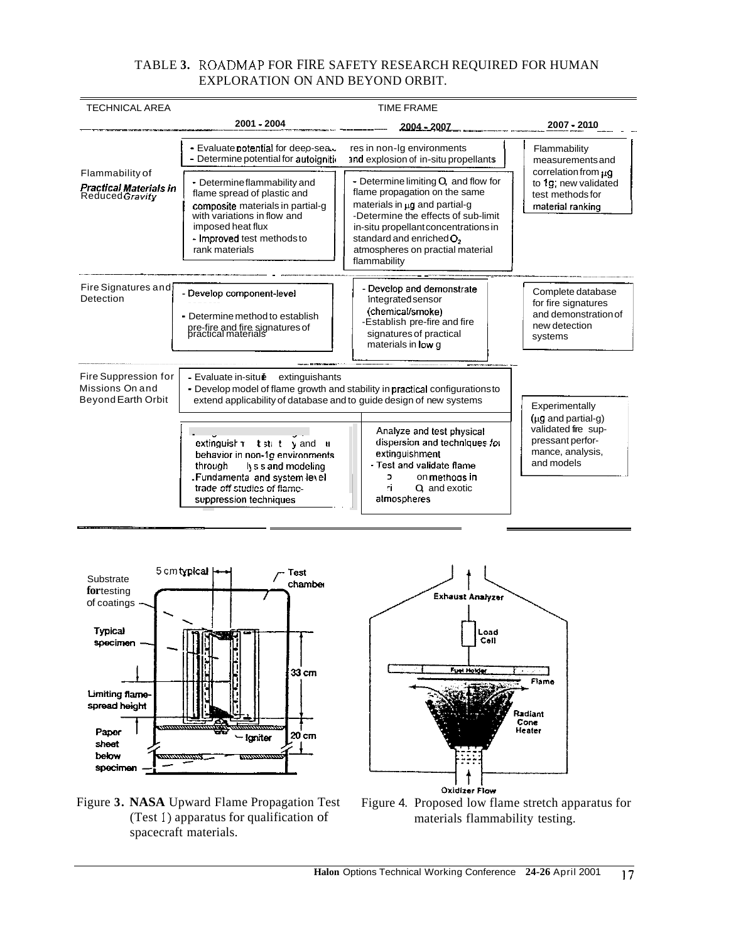# TABLE **3.** ROADMAP FOR FIRE SAFETY RESEARCH REQUIRED FOR HUMAN EXPLORATION ON AND BEYOND ORBIT.

| <b>TECHNICAL AREA</b>                                                | <b>TIME FRAME</b>                                                                                                                                                                                   |                                                                                                                                                                                                                                                                                      |                                                                                                      |  |
|----------------------------------------------------------------------|-----------------------------------------------------------------------------------------------------------------------------------------------------------------------------------------------------|--------------------------------------------------------------------------------------------------------------------------------------------------------------------------------------------------------------------------------------------------------------------------------------|------------------------------------------------------------------------------------------------------|--|
|                                                                      | $2001 - 2004$                                                                                                                                                                                       | 2004 - 2007                                                                                                                                                                                                                                                                          | 2007 - 2010                                                                                          |  |
| Flammability of<br><b>Practical Materials in</b><br>Reduced Gravity  | - Evaluate potential for deeo-sea.<br>res in non-Ig environments<br>- Determine potential for autoignition<br>and explosion of in-situ propellants                                                  |                                                                                                                                                                                                                                                                                      | Flammability<br>measurements and                                                                     |  |
|                                                                      | • Determine flammability and<br>flame spread of plastic and<br>composite materials in partial-g<br>with variations in flow and<br>imposed heat flux<br>- Improved test methods to<br>rank materials | - Determine limiting $Q$ , and flow for<br>flame propagation on the same<br>materials in ug and partial-g<br>-Determine the effects of sub-limit<br>in-situ propellant concentrations in<br>standard and enriched O <sub>2</sub><br>atmospheres on practial material<br>flammability | correlation from $\mu$ q<br>to 1q, new validated<br>test methods for<br>material ranking             |  |
| Fire Signatures and<br>Detection                                     | - Develop component-level<br>- Determine method to establish<br>pre-fire and fire signatures of<br>practical materials                                                                              | - Develop and demonstrate<br>integrated sensor<br>(chemical/smoke)<br>-Establish pre-fire and fire<br>signatures of practical<br>materials in low g                                                                                                                                  | Complete database<br>for fire signatures<br>and demonstration of<br>new detection<br>systems         |  |
| Fire Suppression for<br>Missions On and<br><b>Beyond Earth Orbit</b> | - Evaluate in-situé<br>extinguishants<br>- Develop model of flame growth and stability in practical configurations to<br>extend applicability of database and to quide design of new systems        |                                                                                                                                                                                                                                                                                      |                                                                                                      |  |
|                                                                      | extinguish till t y and<br>H.<br>behavior in non-1a environments<br>lys s and modeling<br>through<br>Fundamenta and system level<br>trade-off studies of flame-<br>suppression techniques           | Analyze and test physical<br>dispersion and techniques for<br>extinguishment<br>- Test and validate flame<br>on methods in<br>C.<br>Q and exotic<br>ГÌ.<br>atmospheres                                                                                                               | $(\mu g$ and partial-g)<br>validated fire sup-<br>pressant perfor-<br>mance, analysis,<br>and models |  |





# (Test 1) apparatus for qualification of spacecraft materials.



Exhaust Analyzer

Fuel Holder

Load<br>Coli

Flame

Radiant Cone<br>Heater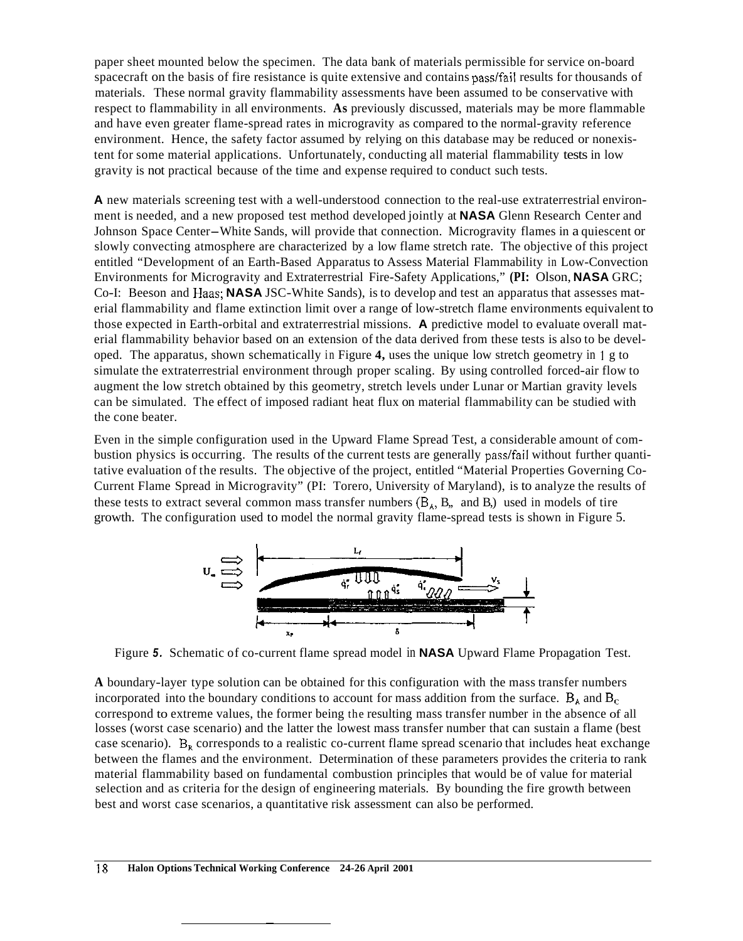paper sheet mounted below the specimen. The data bank of materials permissible for service on-board spacecraft on the basis of fire resistance is quite extensive and contains pass/fail results for thousands of materials. These normal gravity flammability assessments have been assumed to be conservative with respect to flammability in all environments. **As** previously discussed, materials may be more flammable and have even greater flame-spread rates in microgravity as compared to the normal-gravity reference environment. Hence, the safety factor assumed by relying on this database may be reduced or nonexistent for some material applications. Unfortunately, conducting all material flammability tests in low gravity is not practical because of the time and expense required to conduct such tests.

**A** new materials screening test with a well-understood connection to the real-use extraterrestrial environment is needed, and a new proposed test method developed jointly at **NASA** Glenn Research Center and Johnson Space Center-White Sands, will provide that connection. Microgravity flames in a quiescent or slowly convecting atmosphere are characterized by a low flame stretch rate. The objective of this project entitled "Development of an Earth-Based Apparatus to Assess Material Flammability in Low-Convection Environments for Microgravity and Extraterrestrial Fire-Safety Applications," **(PI:** Olson, **NASA** GRC; Co-I: Beeson and Haas; **NASA** JSC-White Sands), is to develop and test an apparatus that assesses material flammability and flame extinction limit over a range of low-stretch flame environments equivalent to those expected in Earth-orbital and extraterrestrial missions. **A** predictive model to evaluate overall material flammability behavior based on an extension of the data derived from these tests is also to be developed. The apparatus, shown schematically in Figure **4,** uses the unique low stretch geometry in 1 g to simulate the extraterrestrial environment through proper scaling. By using controlled forced-air flow to augment the low stretch obtained by this geometry, stretch levels under Lunar or Martian gravity levels can be simulated. The effect of imposed radiant heat flux on material flammability can be studied with the cone beater.

Even in the simple configuration used in the Upward Flame Spread Test, a considerable amount of combustion physics is occurring. The results of the current tests are generally passlfail without further quantitative evaluation of the results. The objective of the project, entitled "Material Properties Governing Co-Current Flame Spread in Microgravity" (PI: Torero, University of Maryland), is to analyze the results of these tests to extract several common mass transfer numbers  $(B_A, B_n, \text{ and } B_i)$  used in models of tire growth. The configuration used to model the normal gravity flame-spread tests is shown in Figure 5.



Figure *5.* Schematic of co-current flame spread model in **NASA** Upward Flame Propagation Test.

**A** boundary-layer type solution can be obtained for this configuration with the mass transfer numbers incorporated into the boundary conditions to account for mass addition from the surface.  $B_A$  and  $B_C$ correspond to extreme values, the former being the resulting mass transfer number in the absence of all losses (worst case scenario) and the latter the lowest mass transfer number that can sustain a flame (best case scenario).  $B_R$  corresponds to a realistic co-current flame spread scenario that includes heat exchange between the flames and the environment. Determination of these parameters provides the criteria to rank material flammability based on fundamental combustion principles that would be of value for material selection and as criteria for the design of engineering materials. By bounding the fire growth between best and worst case scenarios, a quantitative risk assessment can also be performed.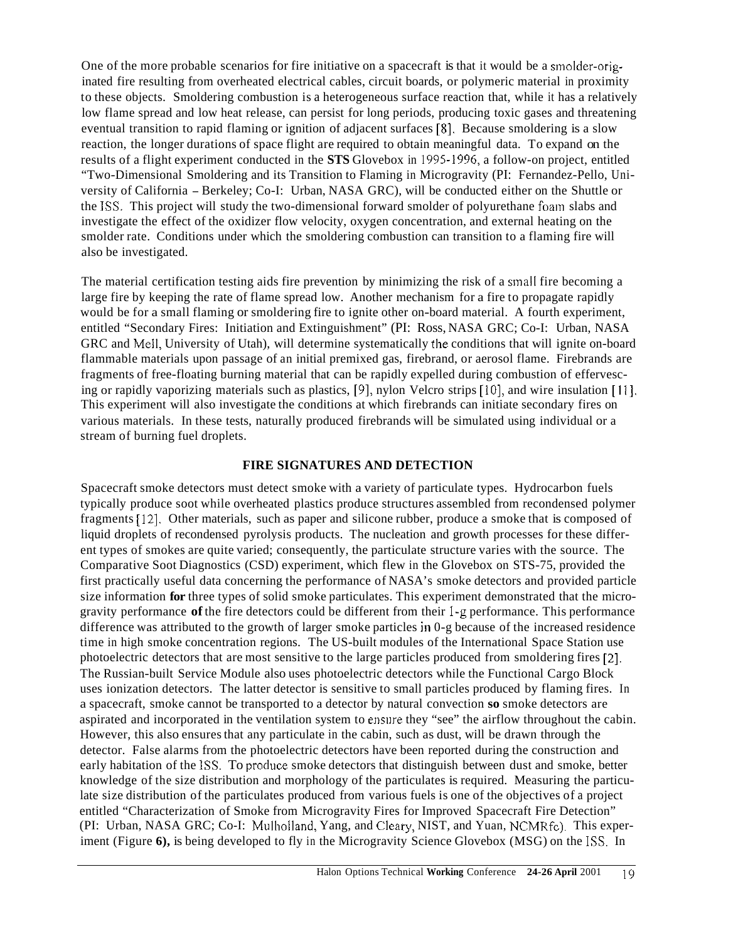One of the more probable scenarios for fire initiative on a spacecraft is that it would be a smolder-originated fire resulting from overheated electrical cables, circuit boards, or polymeric material in proximity to these objects. Smoldering combustion is a heterogeneous surface reaction that, while it has a relatively low flame spread and low heat release, can persist for long periods, producing toxic gases and threatening eventual transition to rapid flaming or ignition of adjacent surfaces **[8].** Because smoldering is a slow reaction, the longer durations of space flight are required to obtain meaningful data. To expand on the results of a flight experiment conducted in the **STS** Glovebox in 1995.1996, a follow-on project, entitled "Two-Dimensional Smoldering and its Transition to Flaming in Microgravity (PI: Fernandez-Pello, University of California - Berkeley; Co-I: Urban, NASA GRC), will be conducted either on the Shuttle or the **ISS.** This project will study the two-dimensional forward smolder of polyurethane foam slabs and investigate the effect of the oxidizer flow velocity, oxygen concentration, and external heating on the smolder rate. Conditions under which the smoldering combustion can transition to a flaming fire will also be investigated.

The material certification testing aids fire prevention by minimizing the risk of a small fire becoming a large fire by keeping the rate of flame spread low. Another mechanism for a fire to propagate rapidly would be for a small flaming or smoldering fire to ignite other on-board material. A fourth experiment, entitled "Secondary Fires: Initiation and Extinguishment" (PI: Ross, NASA GRC; Co-I: Urban, NASA GRC and Mell, University of Utah), will determine systematically the conditions that will ignite on-board flammable materials upon passage of an initial premixed gas, firebrand, or aerosol flame. Firebrands are fragments of free-floating burning material that can be rapidly expelled during combustion of effervescing or rapidly vaporizing materials such as plastics, [9], nylon Velcro strips [10], and wire insulation [11], This experiment will also investigate the conditions at which firebrands can initiate secondary fires on various materials. In these tests, naturally produced firebrands will be simulated using individual or a stream of burning fuel droplets.

#### **FIRE SIGNATURES AND DETECTION**

Spacecraft smoke detectors must detect smoke with a variety of particulate types. Hydrocarbon fuels typically produce soot while overheated plastics produce structures assembled from recondensed polymer fragments [12]. Other materials, such as paper and silicone rubber, produce a smoke that is composed of liquid droplets of recondensed pyrolysis products. The nucleation and growth processes for these different types of smokes are quite varied; consequently, the particulate structure varies with the source. The Comparative Soot Diagnostics (CSD) experiment, which flew in the Glovebox on STS-75, provided the first practically useful data concerning the performance of NASA's smoke detectors and provided particle size information **for** three types of solid smoke particulates. This experiment demonstrated that the microgravity performance **of** the fire detectors could be different from their I-g performance. This performance difference was attributed to the growth of larger smoke particles in 0-g because of the increased residence time in high smoke concentration regions. The US-built modules of the International Space Station use photoelectric detectors that are most sensitive to the large particles produced from smoldering fires [2]. The Russian-built Service Module also uses photoelectric detectors while the Functional Cargo Block uses ionization detectors. The latter detector is sensitive to small particles produced by flaming fires. In a spacecraft, smoke cannot be transported to a detector by natural convection **so** smoke detectors are aspirated and incorporated in the ventilation system to ensure they "see" the airflow throughout the cabin. However, this also ensures that any particulate in the cabin, such as dust, will be drawn through the detector. False alarms from the photoelectric detectors have been reported during the construction and early habitation of the **ISS.** To produce smoke detectors that distinguish between dust and smoke, better knowledge of the size distribution and morphology of the particulates is required. Measuring the particulate size distribution of the particulates produced from various fuels is one of the objectives of a project entitled "Characterization of Smoke from Microgravity Fires for Improved Spacecraft Fire Detection" (PI: Urban, NASA GRC; Co-I: Mulholland, Yang, and Cleary, NIST, and Yuan, NCMRfc). This experiment (Figure **6),** is being developed to fly in the Microgravity Science Glovebox (MSG) on the **ISS.** In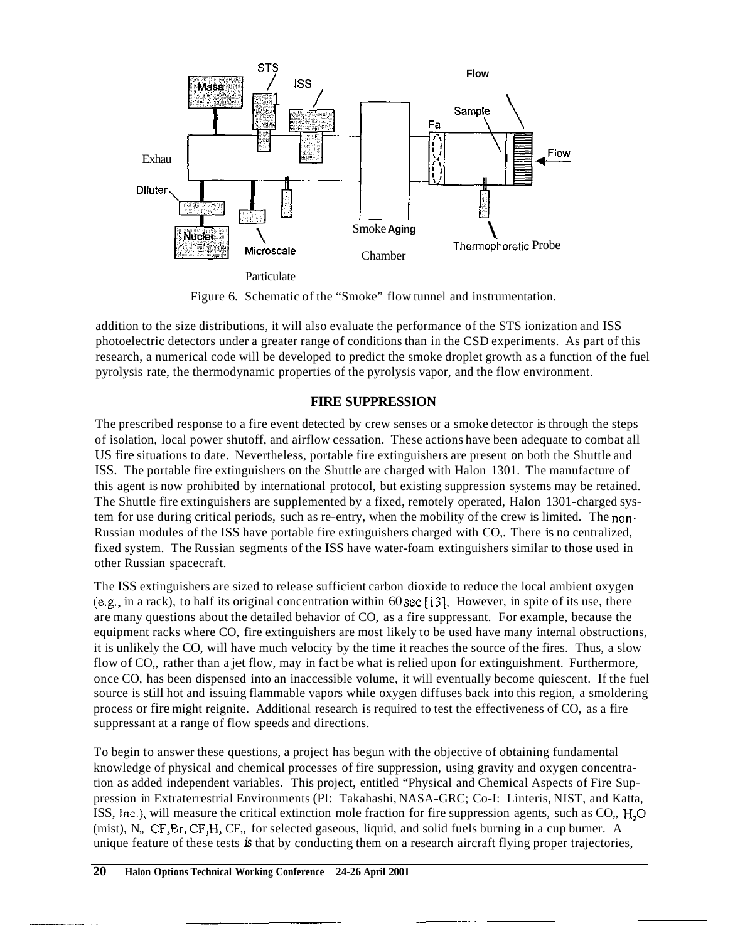

Figure 6. Schematic of the "Smoke" flow tunnel and instrumentation.

addition to the size distributions, it will also evaluate the performance of the STS ionization and ISS photoelectric detectors under a greater range of conditions than in the CSD experiments. As part of this research, a numerical code will be developed to predict the smoke droplet growth as a function of the fuel pyrolysis rate, the thermodynamic properties of the pyrolysis vapor, and the flow environment.

# **FIRE SUPPRESSION**

The prescribed response to a fire event detected by crew senses or a smoke detector is through the steps of isolation, local power shutoff, and airflow cessation. These actions have been adequate to combat all US fire situations to date. Nevertheless, portable fire extinguishers are present on both the Shuttle and ISS. The portable fire extinguishers on the Shuttle are charged with Halon 1301. The manufacture of this agent is now prohibited by international protocol, but existing suppression systems may be retained. The Shuttle fire extinguishers are supplemented by a fixed, remotely operated, Halon 1301-charged system for use during critical periods, such as re-entry, when the mobility of the crew is limited. The non-Russian modules of the ISS have portable fire extinguishers charged with CO,. There is no centralized, fixed system. The Russian segments of the ISS have water-foam extinguishers similar to those used in other Russian spacecraft.

The ISS extinguishers are sized to release sufficient carbon dioxide to reduce the local ambient oxygen (e.&, in a rack), to half its original concentration within 60 sec **[13].** However, in spite of its use, there are many questions about the detailed behavior of CO, as a fire suppressant. For example, because the equipment racks where CO, fire extinguishers are most likely to be used have many internal obstructions, it is unlikely the CO, will have much velocity by the time it reaches the source of the fires. Thus, a slow flow of CO,, rather than a jet flow, may in fact be what is relied upon for extinguishment. Furthermore, once CO, has been dispensed into an inaccessible volume, it will eventually become quiescent. If the fuel source is still hot and issuing flammable vapors while oxygen diffuses back into this region, a smoldering process or fire might reignite. Additional research is required to test the effectiveness of CO, as a fire suppressant at a range of flow speeds and directions.

To begin to answer these questions, a project has begun with the objective of obtaining fundamental knowledge of physical and chemical processes of fire suppression, using gravity and oxygen concentration as added independent variables. This project, entitled "Physical and Chemical Aspects of Fire Suppression in Extraterrestrial Environments (PI: Takahashi, NASA-GRC; Co-I: Linteris, NIST, and Katta, ISS, Inc.), will measure the critical extinction mole fraction for fire suppression agents, such as CO,, H,O (mist), N,, CF,Br, CF,H, CF,, for selected gaseous, liquid, and solid fuels burning in a cup burner. A unique feature of these tests *is* that by conducting them on a research aircraft flying proper trajectories,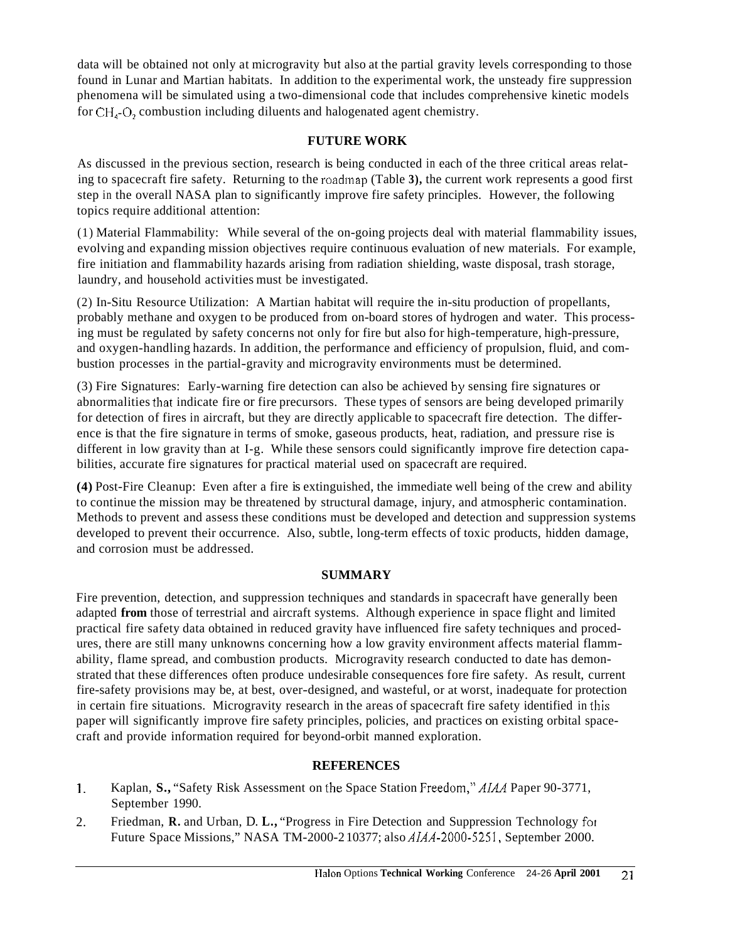data will be obtained not only at microgravity but also at the partial gravity levels corresponding to those found in Lunar and Martian habitats. In addition to the experimental work, the unsteady fire suppression phenomena will be simulated using a two-dimensional code that includes comprehensive kinetic models for CH,-0, combustion including diluents and halogenated agent chemistry.

## **FUTURE WORK**

As discussed in the previous section, research is being conducted in each of the three critical areas relating to spacecraft fire safety. Returning to the roadmap (Table **3),** the current work represents a good first step in the overall NASA plan to significantly improve fire safety principles. However, the following topics require additional attention:

(1) Material Flammability: While several of the on-going projects deal with material flammability issues, evolving and expanding mission objectives require continuous evaluation of new materials. For example, fire initiation and flammability hazards arising from radiation shielding, waste disposal, trash storage, laundry, and household activities must be investigated.

(2) In-Situ Resource Utilization: A Martian habitat will require the in-situ production of propellants, probably methane and oxygen to be produced from on-board stores of hydrogen and water. This processing must be regulated by safety concerns not only for fire but also for high-temperature, high-pressure, and oxygen-handling hazards. In addition, the performance and efficiency of propulsion, fluid, and combustion processes in the partial-gravity and microgravity environments must be determined.

(3) Fire Signatures: Early-warning fire detection can also be achieved by sensing fire signatures or abnormalities that indicate fire or fire precursors. These types of sensors are being developed primarily for detection of fires in aircraft, but they are directly applicable to spacecraft fire detection. The difference is that the fire signature in terms of smoke, gaseous products, heat, radiation, and pressure rise is different in low gravity than at I-g. While these sensors could significantly improve fire detection capabilities, accurate fire signatures for practical material used on spacecraft are required.

**(4)** Post-Fire Cleanup: Even after a fire is extinguished, the immediate well being of the crew and ability to continue the mission may be threatened by structural damage, injury, and atmospheric contamination. Methods to prevent and assess these conditions must be developed and detection and suppression systems developed to prevent their occurrence. Also, subtle, long-term effects of toxic products, hidden damage, and corrosion must be addressed.

## **SUMMARY**

Fire prevention, detection, and suppression techniques and standards in spacecraft have generally been adapted **from** those of terrestrial and aircraft systems. Although experience in space flight and limited practical fire safety data obtained in reduced gravity have influenced fire safety techniques and procedures, there are still many unknowns concerning how a low gravity environment affects material flammability, flame spread, and combustion products. Microgravity research conducted to date has demonstrated that these differences often produce undesirable consequences fore fire safety. As result, current fire-safety provisions may be, at best, over-designed, and wasteful, or at worst, inadequate for protection in certain fire situations. Microgravity research in the areas of spacecraft fire safety identified in this paper will significantly improve fire safety principles, policies, and practices on existing orbital spacecraft and provide information required for beyond-orbit manned exploration.

# **REFERENCES**

- 1. Kaplan, **S.,** "Safety Risk Assessment on the Space Station Freedom,"AIM Paper 90-3771, September 1990.
- Friedman, **R.** and Urban, D. **L.,** "Progress in Fire Detection and Suppression Technology foi Future Space Missions," NASA TM-2000-2 10377; also *AIAA-2000-525* **1,** September 2000. 2.